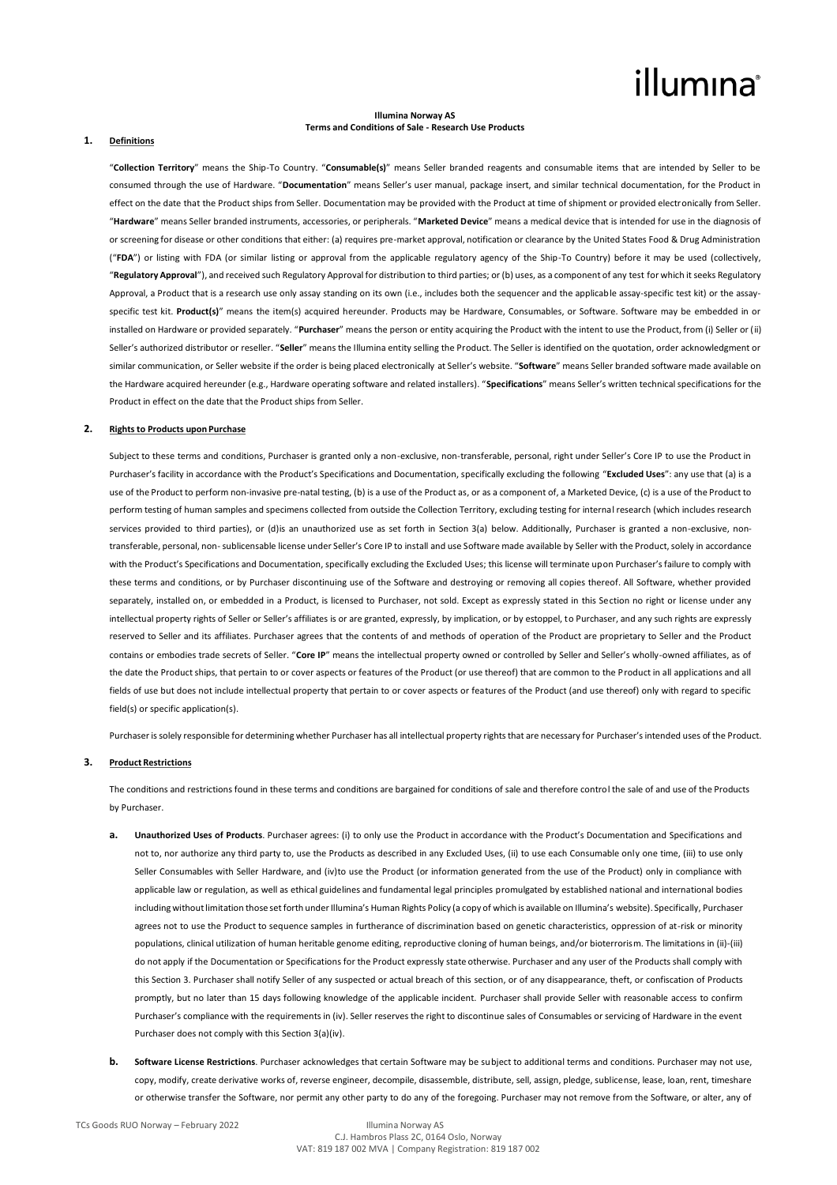# illumina®

## **Illumina Norway AS Terms and Conditions of Sale - Research Use Products**

### **1. Definitions**

"**Collection Territory**" means the Ship-To Country. "**Consumable(s)**" means Seller branded reagents and consumable items that are intended by Seller to be consumed through the use of Hardware. "**Documentation**" means Seller's user manual, package insert, and similar technical documentation, for the Product in effect on the date that the Product ships from Seller. Documentation may be provided with the Product at time of shipment or provided electronically from Seller. "**Hardware**" means Seller branded instruments, accessories, or peripherals. "**Marketed Device**" means a medical device that is intended for use in the diagnosis of or screening for disease or other conditions that either: (a) requires pre-market approval, notification or clearance by the United States Food & Drug Administration ("**FDA**") or listing with FDA (or similar listing or approval from the applicable regulatory agency of the Ship-To Country) before it may be used (collectively, "**Regulatory Approval**"), and received such Regulatory Approval for distribution to third parties; or (b) uses, as a component of any test for which it seeks Regulatory Approval, a Product that is a research use only assay standing on its own (i.e., includes both the sequencer and the applicable assay-specific test kit) or the assayspecific test kit. **Product(s)**" means the item(s) acquired hereunder. Products may be Hardware, Consumables, or Software. Software may be embedded in or installed on Hardware or provided separately. "**Purchaser**" means the person or entity acquiring the Product with the intent to use the Product, from (i) Seller or (ii) Seller's authorized distributor or reseller. "**Seller**" means the Illumina entity selling the Product. The Seller is identified on the quotation, order acknowledgment or similar communication, or Seller website if the order is being placed electronically at Seller's website. "**Software**" means Seller branded software made available on the Hardware acquired hereunder (e.g., Hardware operating software and related installers). "**Specifications**" means Seller's written technical specifications for the Product in effect on the date that the Product ships from Seller.

## **2. Rights to Products upon Purchase**

Subject to these terms and conditions, Purchaser is granted only a non-exclusive, non-transferable, personal, right under Seller's Core IP to use the Product in Purchaser's facility in accordance with the Product's Specifications and Documentation, specifically excluding the following "**Excluded Uses**": any use that (a) is a use of the Product to perform non-invasive pre-natal testing, (b) is a use of the Product as, or as a component of, a Marketed Device, (c) is a use of the Product to perform testing of human samples and specimens collected from outside the Collection Territory, excluding testing for internal research (which includes research services provided to third parties), or (d)is an unauthorized use as set forth in Section 3(a) below. Additionally, Purchaser is granted a non-exclusive, nontransferable, personal, non-sublicensable license under Seller's Core IP to install and use Software made available by Seller with the Product, solely in accordance with the Product's Specifications and Documentation, specifically excluding the Excluded Uses; this license will terminate upon Purchaser's failure to comply with these terms and conditions, or by Purchaser discontinuing use of the Software and destroying or removing all copies thereof. All Software, whether provided separately, installed on, or embedded in a Product, is licensed to Purchaser, not sold. Except as expressly stated in this Section no right or license under any intellectual property rights of Seller or Seller's affiliates is or are granted, expressly, by implication, or by estoppel, to Purchaser, and any such rights are expressly reserved to Seller and its affiliates. Purchaser agrees that the contents of and methods of operation of the Product are proprietary to Seller and the Product contains or embodies trade secrets of Seller. "**Core IP**" means the intellectual property owned or controlled by Seller and Seller's wholly-owned affiliates, as of the date the Product ships, that pertain to or cover aspects or features of the Product (or use thereof) that are common to the Product in all applications and all fields of use but does not include intellectual property that pertain to or cover aspects or features of the Product (and use thereof) only with regard to specific field(s) or specific application(s).

Purchaser is solely responsible for determining whether Purchaser has all intellectual property rights that are necessary for Purchaser's intended uses of the Product.

## **3. Product Restrictions**

The conditions and restrictions found in these terms and conditions are bargained for conditions of sale and therefore control the sale of and use of the Products by Purchaser.

- **a. Unauthorized Uses of Products**. Purchaser agrees: (i) to only use the Product in accordance with the Product's Documentation and Specifications and not to, nor authorize any third party to, use the Products as described in any Excluded Uses, (ii) to use each Consumable only one time, (iii) to use only Seller Consumables with Seller Hardware, and (iv)to use the Product (or information generated from the use of the Product) only in compliance with applicable law or regulation, as well as ethical guidelines and fundamental legal principles promulgated by established national and international bodies including without limitation those set forth under Illumina's Human Rights Policy (a copy of which is available on Illumina's website). Specifically, Purchaser agrees not to use the Product to sequence samples in furtherance of discrimination based on genetic characteristics, oppression of at-risk or minority populations, clinical utilization of human heritable genome editing, reproductive cloning of human beings, and/or bioterrorism. The limitations in (ii)-(iii) do not apply if the Documentation or Specifications for the Product expressly state otherwise. Purchaser and any user of the Products shall comply with this Section 3. Purchaser shall notify Seller of any suspected or actual breach of this section, or of any disappearance, theft, or confiscation of Products promptly, but no later than 15 days following knowledge of the applicable incident. Purchaser shall provide Seller with reasonable access to confirm Purchaser's compliance with the requirements in (iv). Seller reserves the right to discontinue sales of Consumables or servicing of Hardware in the event Purchaser does not comply with this Section 3(a)(iv).
- **b. Software License Restrictions**. Purchaser acknowledges that certain Software may be subject to additional terms and conditions. Purchaser may not use, copy, modify, create derivative works of, reverse engineer, decompile, disassemble, distribute, sell, assign, pledge, sublicense, lease, loan, rent, timeshare or otherwise transfer the Software, nor permit any other party to do any of the foregoing. Purchaser may not remove from the Software, or alter, any of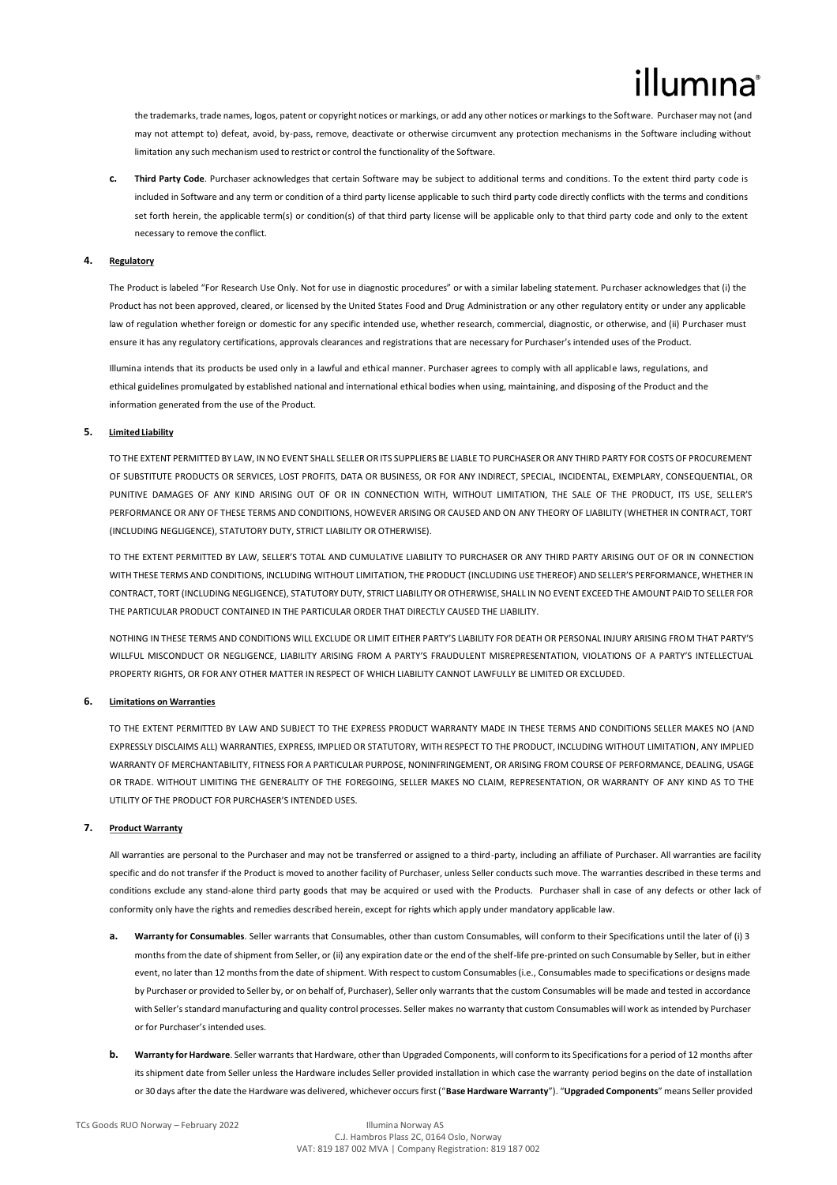the trademarks, trade names, logos, patent or copyright notices or markings, or add any other notices or markings to the Software. Purchaser may not (and may not attempt to) defeat, avoid, by-pass, remove, deactivate or otherwise circumvent any protection mechanisms in the Software including without limitation any such mechanism used to restrict or control the functionality of the Software.

**c. Third Party Code**. Purchaser acknowledges that certain Software may be subject to additional terms and conditions. To the extent third party code is included in Software and any term or condition of a third party license applicable to such third party code directly conflicts with the terms and conditions set forth herein, the applicable term(s) or condition(s) of that third party license will be applicable only to that third party code and only to the extent necessary to remove the conflict.

## **4. Regulatory**

The Product is labeled "For Research Use Only. Not for use in diagnostic procedures" or with a similar labeling statement. Purchaser acknowledges that (i) the Product has not been approved, cleared, or licensed by the United States Food and Drug Administration or any other regulatory entity or under any applicable law of regulation whether foreign or domestic for any specific intended use, whether research, commercial, diagnostic, or otherwise, and (ii) Purchaser must ensure it has any regulatory certifications, approvals clearances and registrations that are necessary for Purchaser's intended uses of the Product.

Illumina intends that its products be used only in a lawful and ethical manner. Purchaser agrees to comply with all applicable laws, regulations, and ethical guidelines promulgated by established national and international ethical bodies when using, maintaining, and disposing of the Product and the information generated from the use of the Product.

## **5. Limited Liability**

TO THE EXTENT PERMITTED BY LAW, IN NO EVENT SHALL SELLER OR ITS SUPPLIERS BE LIABLE TO PURCHASER OR ANY THIRD PARTY FOR COSTS OF PROCUREMENT OF SUBSTITUTE PRODUCTS OR SERVICES, LOST PROFITS, DATA OR BUSINESS, OR FOR ANY INDIRECT, SPECIAL, INCIDENTAL, EXEMPLARY, CONSEQUENTIAL, OR PUNITIVE DAMAGES OF ANY KIND ARISING OUT OF OR IN CONNECTION WITH, WITHOUT LIMITATION, THE SALE OF THE PRODUCT, ITS USE, SELLER'S PERFORMANCE OR ANY OF THESE TERMS AND CONDITIONS, HOWEVER ARISING OR CAUSED AND ON ANY THEORY OF LIABILITY (WHETHER IN CONTRACT, TORT (INCLUDING NEGLIGENCE), STATUTORY DUTY, STRICT LIABILITY OR OTHERWISE).

TO THE EXTENT PERMITTED BY LAW, SELLER'S TOTAL AND CUMULATIVE LIABILITY TO PURCHASER OR ANY THIRD PARTY ARISING OUT OF OR IN CONNECTION WITH THESE TERMS AND CONDITIONS, INCLUDING WITHOUT LIMITATION, THE PRODUCT (INCLUDING USE THEREOF) AND SELLER'S PERFORMANCE, WHETHER IN CONTRACT, TORT (INCLUDING NEGLIGENCE), STATUTORY DUTY, STRICT LIABILITY OR OTHERWISE, SHALL IN NO EVENT EXCEED THE AMOUNT PAID TO SELLER FOR THE PARTICULAR PRODUCT CONTAINED IN THE PARTICULAR ORDER THAT DIRECTLY CAUSED THE LIABILITY.

NOTHING IN THESE TERMS AND CONDITIONS WILL EXCLUDE OR LIMIT EITHER PARTY'S LIABILITY FOR DEATH OR PERSONAL INJURY ARISING FROM THAT PARTY'S WILLFUL MISCONDUCT OR NEGLIGENCE, LIABILITY ARISING FROM A PARTY'S FRAUDULENT MISREPRESENTATION, VIOLATIONS OF A PARTY'S INTELLECTUAL PROPERTY RIGHTS, OR FOR ANY OTHER MATTER IN RESPECT OF WHICH LIABILITY CANNOT LAWFULLY BE LIMITED OR EXCLUDED.

## **6. Limitations on Warranties**

TO THE EXTENT PERMITTED BY LAW AND SUBJECT TO THE EXPRESS PRODUCT WARRANTY MADE IN THESE TERMS AND CONDITIONS SELLER MAKES NO (AND EXPRESSLY DISCLAIMS ALL) WARRANTIES, EXPRESS, IMPLIED OR STATUTORY, WITH RESPECT TO THE PRODUCT, INCLUDING WITHOUT LIMITATION, ANY IMPLIED WARRANTY OF MERCHANTABILITY, FITNESS FOR A PARTICULAR PURPOSE, NONINFRINGEMENT, OR ARISING FROM COURSE OF PERFORMANCE, DEALING, USAGE OR TRADE. WITHOUT LIMITING THE GENERALITY OF THE FOREGOING, SELLER MAKES NO CLAIM, REPRESENTATION, OR WARRANTY OF ANY KIND AS TO THE UTILITY OF THE PRODUCT FOR PURCHASER'S INTENDED USES.

## **7. Product Warranty**

All warranties are personal to the Purchaser and may not be transferred or assigned to a third-party, including an affiliate of Purchaser. All warranties are facility specific and do not transfer if the Product is moved to another facility of Purchaser, unless Seller conducts such move. The warranties described in these terms and conditions exclude any stand-alone third party goods that may be acquired or used with the Products. Purchaser shall in case of any defects or other lack of conformity only have the rights and remedies described herein, except for rights which apply under mandatory applicable law.

- **a. Warranty for Consumables**. Seller warrants that Consumables, other than custom Consumables, will conform to their Specifications until the later of (i) 3 months from the date of shipment from Seller, or (ii) any expiration date or the end of the shelf-life pre-printed on such Consumable by Seller, but in either event, no later than 12 months from the date of shipment. With respect to custom Consumables (i.e., Consumables made to specifications or designs made by Purchaser or provided to Seller by, or on behalf of, Purchaser), Seller only warrants that the custom Consumables will be made and tested in accordance with Seller's standard manufacturing and quality control processes. Seller makes no warranty that custom Consumables will work as intended by Purchaser or for Purchaser's intended uses.
- **b. Warranty for Hardware**. Seller warrants that Hardware, other than Upgraded Components, will conform to its Specifications for a period of 12 months after its shipment date from Seller unless the Hardware includes Seller provided installation in which case the warranty period begins on the date of installation or 30 days after the date the Hardware was delivered, whichever occurs first ("**Base Hardware Warranty**"). "**Upgraded Components**" means Seller provided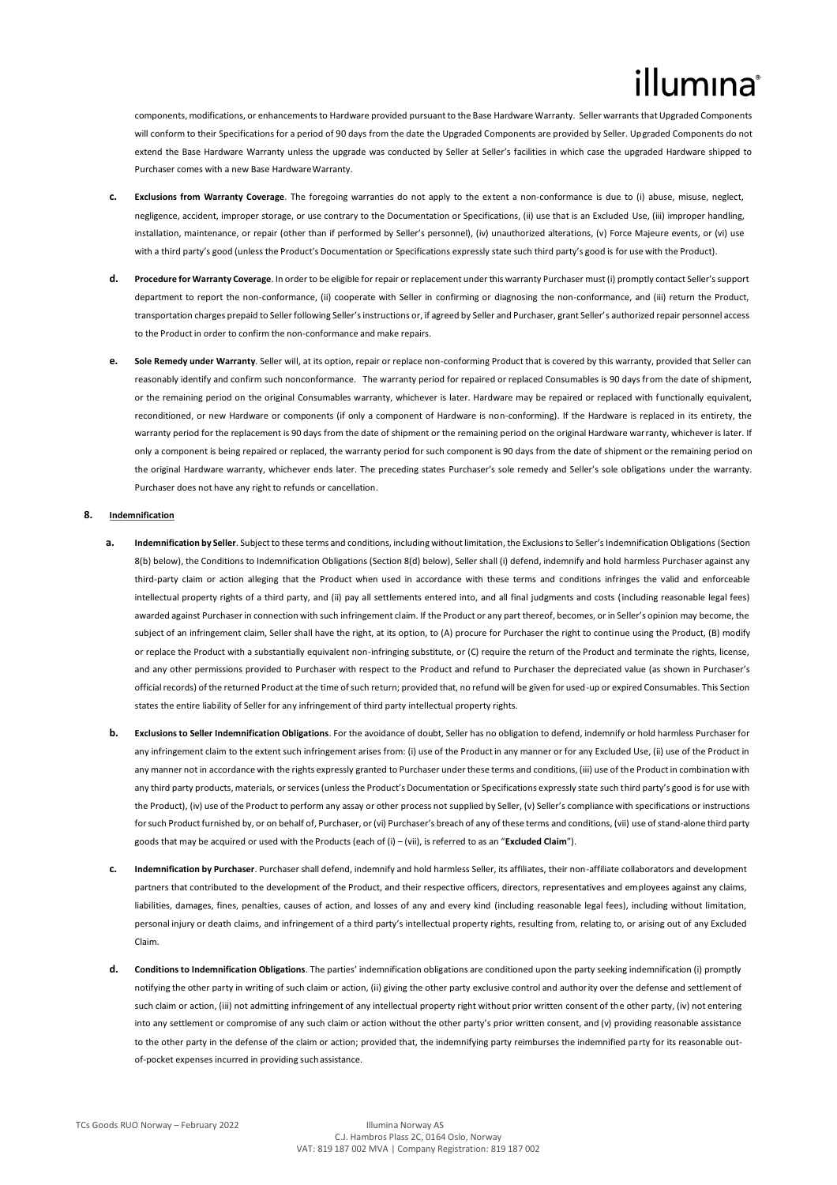components, modifications, or enhancements to Hardware provided pursuant to the Base Hardware Warranty. Seller warrants that Upgraded Components will conform to their Specifications for a period of 90 days from the date the Upgraded Components are provided by Seller. Upgraded Components do not extend the Base Hardware Warranty unless the upgrade was conducted by Seller at Seller's facilities in which case the upgraded Hardware shipped to Purchaser comes with a new Base HardwareWarranty.

- **c. Exclusions from Warranty Coverage**. The foregoing warranties do not apply to the extent a non-conformance is due to (i) abuse, misuse, neglect, negligence, accident, improper storage, or use contrary to the Documentation or Specifications, (ii) use that is an Excluded Use, (iii) improper handling, installation, maintenance, or repair (other than if performed by Seller's personnel), (iv) unauthorized alterations, (v) Force Majeure events, or (vi) use with a third party's good (unless the Product's Documentation or Specifications expressly state such third party's good is for use with the Product).
- **d. Procedure for Warranty Coverage**. In order to be eligible for repair or replacement under this warranty Purchaser must (i) promptly contact Seller's support department to report the non-conformance, (ii) cooperate with Seller in confirming or diagnosing the non-conformance, and (iii) return the Product, transportation charges prepaid to Seller following Seller's instructions or, if agreed by Seller and Purchaser, grant Seller's authorized repair personnel access to the Product in order to confirm the non-conformance and make repairs.
- **e. Sole Remedy under Warranty**. Seller will, at its option, repair or replace non-conforming Product that is covered by this warranty, provided that Seller can reasonably identify and confirm such nonconformance. The warranty period for repaired or replaced Consumables is 90 days from the date of shipment, or the remaining period on the original Consumables warranty, whichever is later. Hardware may be repaired or replaced with functionally equivalent, reconditioned, or new Hardware or components (if only a component of Hardware is non-conforming). If the Hardware is replaced in its entirety, the warranty period for the replacement is 90 days from the date of shipment or the remaining period on the original Hardware warranty, whichever is later. If only a component is being repaired or replaced, the warranty period for such component is 90 days from the date of shipment or the remaining period on the original Hardware warranty, whichever ends later. The preceding states Purchaser's sole remedy and Seller's sole obligations under the warranty. Purchaser does not have any right to refunds or cancellation.

## **8. Indemnification**

- **a. Indemnification by Seller**. Subject to these terms and conditions, including without limitation, the Exclusions to Seller's Indemnification Obligations (Section 8(b) below), the Conditions to Indemnification Obligations (Section 8(d) below), Seller shall (i) defend, indemnify and hold harmless Purchaser against any third-party claim or action alleging that the Product when used in accordance with these terms and conditions infringes the valid and enforceable intellectual property rights of a third party, and (ii) pay all settlements entered into, and all final judgments and costs (including reasonable legal fees) awarded against Purchaser in connection with such infringement claim. If the Product or any part thereof, becomes, or in Seller's opinion may become, the subject of an infringement claim, Seller shall have the right, at its option, to (A) procure for Purchaser the right to continue using the Product, (B) modify or replace the Product with a substantially equivalent non-infringing substitute, or (C) require the return of the Product and terminate the rights, license, and any other permissions provided to Purchaser with respect to the Product and refund to Purchaser the depreciated value (as shown in Purchaser's official records) of the returned Product at the time of such return; provided that, no refund will be given for used-up or expired Consumables. This Section states the entire liability of Seller for any infringement of third party intellectual property rights.
- **b. Exclusions to Seller Indemnification Obligations**. For the avoidance of doubt, Seller has no obligation to defend, indemnify or hold harmless Purchaser for any infringement claim to the extent such infringement arises from: (i) use of the Product in any manner or for any Excluded Use, (ii) use of the Product in any manner not in accordance with the rights expressly granted to Purchaser under these terms and conditions, (iii) use of the Product in combination with any third party products, materials, or services (unless the Product's Documentation or Specifications expressly state such third party's good is for use with the Product), (iv) use of the Product to perform any assay or other process not supplied by Seller, (v) Seller's compliance with specifications or instructions forsuch Product furnished by, or on behalf of, Purchaser, or (vi) Purchaser's breach of any of these terms and conditions, (vii) use of stand-alone third party goods that may be acquired or used with the Products (each of (i) – (vii), is referred to as an "**Excluded Claim**").
- **c. Indemnification by Purchaser**. Purchaser shall defend, indemnify and hold harmless Seller, its affiliates, their non-affiliate collaborators and development partners that contributed to the development of the Product, and their respective officers, directors, representatives and employees against any claims, liabilities, damages, fines, penalties, causes of action, and losses of any and every kind (including reasonable legal fees), including without limitation, personal injury or death claims, and infringement of a third party's intellectual property rights, resulting from, relating to, or arising out of any Excluded Claim.
- **d. Conditions to Indemnification Obligations**. The parties' indemnification obligations are conditioned upon the party seeking indemnification (i) promptly notifying the other party in writing of such claim or action, (ii) giving the other party exclusive control and authority over the defense and settlement of such claim or action, (iii) not admitting infringement of any intellectual property right without prior written consent of the other party, (iv) not entering into any settlement or compromise of any such claim or action without the other party's prior written consent, and (v) providing reasonable assistance to the other party in the defense of the claim or action; provided that, the indemnifying party reimburses the indemnified party for its reasonable outof-pocket expenses incurred in providing suchassistance.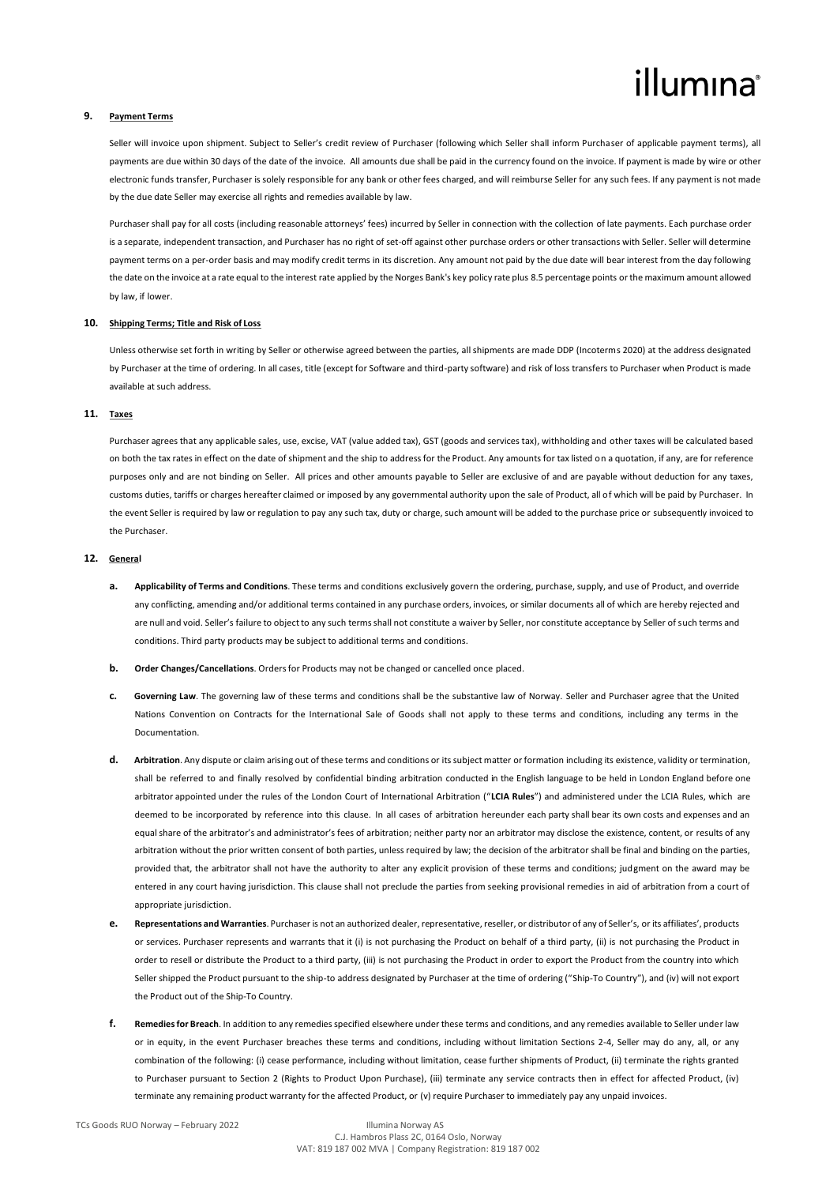# illumına

## **9. Payment Terms**

Seller will invoice upon shipment. Subject to Seller's credit review of Purchaser (following which Seller shall inform Purchaser of applicable payment terms), all payments are due within 30 days of the date of the invoice. All amounts due shall be paid in the currency found on the invoice. If payment is made by wire or other electronic funds transfer, Purchaser is solely responsible for any bank or other fees charged, and will reimburse Seller for any such fees. If any payment is not made by the due date Seller may exercise all rights and remedies available by law.

Purchaser shall pay for all costs (including reasonable attorneys' fees) incurred by Seller in connection with the collection of late payments. Each purchase order is a separate, independent transaction, and Purchaser has no right of set-off against other purchase orders or other transactions with Seller. Seller will determine payment terms on a per-order basis and may modify credit terms in its discretion. Any amount not paid by the due date will bear interest from the day following the date on the invoice at a rate equal to the interest rate applied by the Norges Bank's key policy rate plus 8.5 percentage points or the maximum amount allowed by law, if lower.

## **10. Shipping Terms; Title and Risk of Loss**

Unless otherwise set forth in writing by Seller or otherwise agreed between the parties, all shipments are made DDP (Incoterms 2020) at the address designated by Purchaser at the time of ordering. In all cases, title (except for Software and third-party software) and risk of loss transfers to Purchaser when Product is made available at such address.

## **11. Taxes**

Purchaser agrees that any applicable sales, use, excise, VAT (value added tax), GST (goods and services tax), withholding and other taxes will be calculated based on both the tax rates in effect on the date of shipment and the ship to address for the Product. Any amounts for tax listed on a quotation, if any, are for reference purposes only and are not binding on Seller. All prices and other amounts payable to Seller are exclusive of and are payable without deduction for any taxes, customs duties, tariffs or charges hereafter claimed or imposed by any governmental authority upon the sale of Product, all of which will be paid by Purchaser. In the event Seller is required by law or regulation to pay any such tax, duty or charge, such amount will be added to the purchase price or subsequently invoiced to the Purchaser.

## **12. General**

- **a. Applicability of Terms and Conditions**. These terms and conditions exclusively govern the ordering, purchase, supply, and use of Product, and override any conflicting, amending and/or additional terms contained in any purchase orders, invoices, or similar documents all of which are hereby rejected and are null and void. Seller's failure to object to any such terms shall not constitute a waiver by Seller, nor constitute acceptance by Seller of such terms and conditions. Third party products may be subject to additional terms and conditions.
- **b. Order Changes/Cancellations**. Orders for Products may not be changed or cancelled once placed.
- **c. Governing Law**. The governing law of these terms and conditions shall be the substantive law of Norway. Seller and Purchaser agree that the United Nations Convention on Contracts for the International Sale of Goods shall not apply to these terms and conditions, including any terms in the Documentation.
- **d. Arbitration**. Any dispute or claim arising out of these terms and conditions or its subject matter or formation including its existence, validity or termination, shall be referred to and finally resolved by confidential binding arbitration conducted in the English language to be held in London England before one arbitrator appointed under the rules of the London Court of International Arbitration ("**LCIA Rules**") and administered under the LCIA Rules, which are deemed to be incorporated by reference into this clause. In all cases of arbitration hereunder each party shall bear its own costs and expenses and an equal share of the arbitrator's and administrator's fees of arbitration; neither party nor an arbitrator may disclose the existence, content, or results of any arbitration without the prior written consent of both parties, unless required by law; the decision of the arbitrator shall be final and binding on the parties, provided that, the arbitrator shall not have the authority to alter any explicit provision of these terms and conditions; judgment on the award may be entered in any court having jurisdiction. This clause shall not preclude the parties from seeking provisional remedies in aid of arbitration from a court of appropriate jurisdiction.
- **e. Representations and Warranties**. Purchaser is not an authorized dealer, representative, reseller, or distributor of any of Seller's, or its affiliates', products or services. Purchaser represents and warrants that it (i) is not purchasing the Product on behalf of a third party, (ii) is not purchasing the Product in order to resell or distribute the Product to a third party, (iii) is not purchasing the Product in order to export the Product from the country into which Seller shipped the Product pursuant to the ship-to address designated by Purchaser at the time of ordering ("Ship-To Country"), and (iv) will not export the Product out of the Ship-To Country.
- **f. Remedies for Breach**. In addition to any remedies specified elsewhere under these terms and conditions, and any remedies available to Seller under law or in equity, in the event Purchaser breaches these terms and conditions, including without limitation Sections 2-4, Seller may do any, all, or any combination of the following: (i) cease performance, including without limitation, cease further shipments of Product, (ii) terminate the rights granted to Purchaser pursuant to Section 2 (Rights to Product Upon Purchase), (iii) terminate any service contracts then in effect for affected Product, (iv) terminate any remaining product warranty for the affected Product, or (v) require Purchaser to immediately pay any unpaid invoices.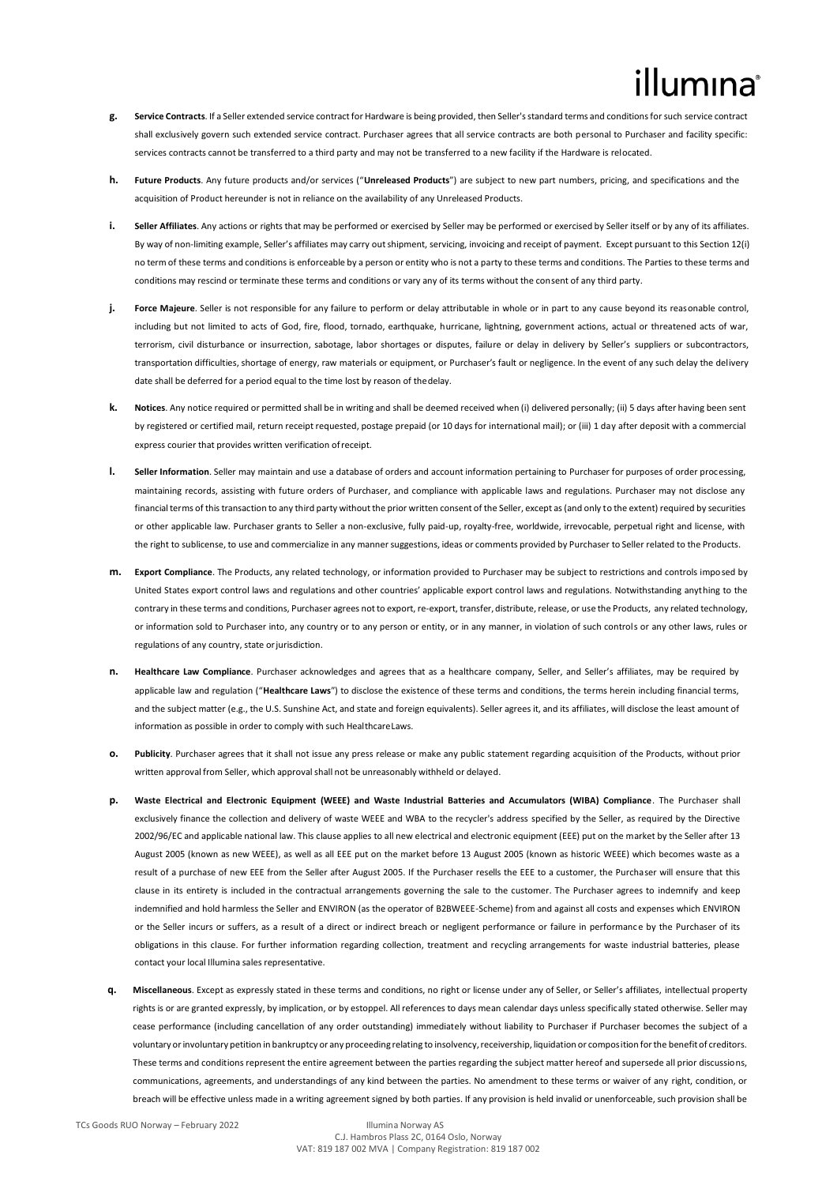- **g. Service Contracts**. If a Seller extended service contract for Hardware is being provided, then Seller's standard terms and conditions for such service contract shall exclusively govern such extended service contract. Purchaser agrees that all service contracts are both personal to Purchaser and facility specific: services contracts cannot be transferred to a third party and may not be transferred to a new facility if the Hardware is relocated.
- **h. Future Products**. Any future products and/or services ("**Unreleased Products**") are subject to new part numbers, pricing, and specifications and the acquisition of Product hereunder is not in reliance on the availability of any Unreleased Products.
- **i. Seller Affiliates**. Any actions or rights that may be performed or exercised by Seller may be performed or exercised by Seller itself or by any of its affiliates. By way of non-limiting example, Seller's affiliates may carry outshipment, servicing, invoicing and receipt of payment. Except pursuant to this Section 12(i) no term of these terms and conditions is enforceable by a person or entity who is not a party to these terms and conditions. The Parties to these terms and conditions may rescind or terminate these terms and conditions or vary any of its terms without the consent of any third party.
- **j. Force Majeure**. Seller is not responsible for any failure to perform or delay attributable in whole or in part to any cause beyond its reasonable control, including but not limited to acts of God, fire, flood, tornado, earthquake, hurricane, lightning, government actions, actual or threatened acts of war, terrorism, civil disturbance or insurrection, sabotage, labor shortages or disputes, failure or delay in delivery by Seller's suppliers or subcontractors, transportation difficulties, shortage of energy, raw materials or equipment, or Purchaser's fault or negligence. In the event of any such delay the delivery date shall be deferred for a period equal to the time lost by reason of thedelay.
- **k. Notices**. Any notice required or permitted shall be in writing and shall be deemed received when (i) delivered personally; (ii) 5 days after having been sent by registered or certified mail, return receipt requested, postage prepaid (or 10 days for international mail); or (iii) 1 day after deposit with a commercial express courier that provides written verification ofreceipt.
- **l. Seller Information**. Seller may maintain and use a database of orders and account information pertaining to Purchaser for purposes of order processing, maintaining records, assisting with future orders of Purchaser, and compliance with applicable laws and regulations. Purchaser may not disclose any financial terms of this transaction to any third party without the prior written consent of the Seller, except as (and only to the extent) required by securities or other applicable law. Purchaser grants to Seller a non-exclusive, fully paid-up, royalty-free, worldwide, irrevocable, perpetual right and license, with the right to sublicense, to use and commercialize in any mannersuggestions, ideas or comments provided by Purchaser to Seller related to the Products.
- **m. Export Compliance**. The Products, any related technology, or information provided to Purchaser may be subject to restrictions and controls imposed by United States export control laws and regulations and other countries' applicable export control laws and regulations. Notwithstanding anything to the contrary in these terms and conditions, Purchaser agrees not to export, re-export, transfer, distribute, release, or use the Products, any related technology, or information sold to Purchaser into, any country or to any person or entity, or in any manner, in violation of such controls or any other laws, rules or regulations of any country, state or jurisdiction.
- **n. Healthcare Law Compliance**. Purchaser acknowledges and agrees that as a healthcare company, Seller, and Seller's affiliates, may be required by applicable law and regulation ("**Healthcare Laws**") to disclose the existence of these terms and conditions, the terms herein including financial terms, and the subject matter (e.g., the U.S. Sunshine Act, and state and foreign equivalents). Seller agrees it, and its affiliates, will disclose the least amount of information as possible in order to comply with such HealthcareLaws.
- **o. Publicity**. Purchaser agrees that it shall not issue any press release or make any public statement regarding acquisition of the Products, without prior written approval from Seller, which approval shall not be unreasonably withheld or delayed.
- **p. Waste Electrical and Electronic Equipment (WEEE) and Waste Industrial Batteries and Accumulators (WIBA) Compliance**. The Purchaser shall exclusively finance the collection and delivery of waste WEEE and WBA to the recycler's address specified by the Seller, as required by the Directive 2002/96/EC and applicable national law. This clause applies to all new electrical and electronic equipment (EEE) put on the market by the Seller after 13 August 2005 (known as new WEEE), as well as all EEE put on the market before 13 August 2005 (known as historic WEEE) which becomes waste as a result of a purchase of new EEE from the Seller after August 2005. If the Purchaser resells the EEE to a customer, the Purchaser will ensure that this clause in its entirety is included in the contractual arrangements governing the sale to the customer. The Purchaser agrees to indemnify and keep indemnified and hold harmless the Seller and ENVIRON (as the operator of B2BWEEE-Scheme) from and against all costs and expenses which ENVIRON or the Seller incurs or suffers, as a result of a direct or indirect breach or negligent performance or failure in performance by the Purchaser of its obligations in this clause. For further information regarding collection, treatment and recycling arrangements for waste industrial batteries, please contact your local Illumina sales representative.
- **q. Miscellaneous**. Except as expressly stated in these terms and conditions, no right or license under any of Seller, or Seller's affiliates, intellectual property rights is or are granted expressly, by implication, or by estoppel. All references to days mean calendar days unless specifically stated otherwise. Seller may cease performance (including cancellation of any order outstanding) immediately without liability to Purchaser if Purchaser becomes the subject of a voluntary or involuntary petition in bankruptcy or any proceeding relating to insolvency, receivership, liquidation or composition for the benefit of creditors. These terms and conditions represent the entire agreement between the parties regarding the subject matter hereof and supersede all prior discussions, communications, agreements, and understandings of any kind between the parties. No amendment to these terms or waiver of any right, condition, or breach will be effective unless made in a writing agreement signed by both parties. If any provision is held invalid or unenforceable, such provision shall be